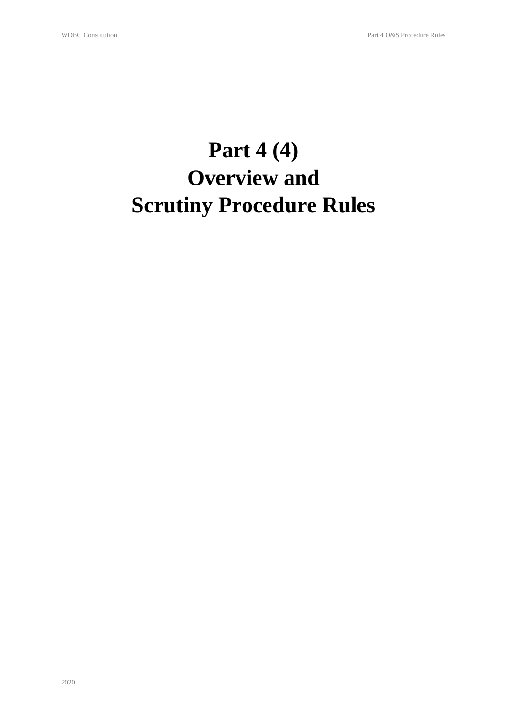# **Part 4 (4) Overview and Scrutiny Procedure Rules**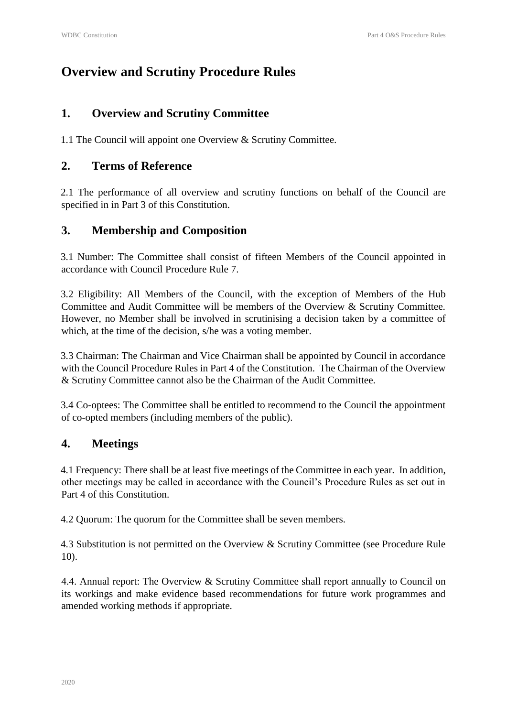# **Overview and Scrutiny Procedure Rules**

# **1. Overview and Scrutiny Committee**

1.1 The Council will appoint one Overview & Scrutiny Committee.

### **2. Terms of Reference**

2.1 The performance of all overview and scrutiny functions on behalf of the Council are specified in in Part 3 of this Constitution.

# **3. Membership and Composition**

3.1 Number: The Committee shall consist of fifteen Members of the Council appointed in accordance with Council Procedure Rule 7.

3.2 Eligibility: All Members of the Council, with the exception of Members of the Hub Committee and Audit Committee will be members of the Overview & Scrutiny Committee. However, no Member shall be involved in scrutinising a decision taken by a committee of which, at the time of the decision, s/he was a voting member.

3.3 Chairman: The Chairman and Vice Chairman shall be appointed by Council in accordance with the Council Procedure Rules in Part 4 of the Constitution. The Chairman of the Overview & Scrutiny Committee cannot also be the Chairman of the Audit Committee.

3.4 Co-optees: The Committee shall be entitled to recommend to the Council the appointment of co-opted members (including members of the public).

# **4. Meetings**

4.1 Frequency: There shall be at least five meetings of the Committee in each year. In addition, other meetings may be called in accordance with the Council's Procedure Rules as set out in Part 4 of this Constitution.

4.2 Quorum: The quorum for the Committee shall be seven members.

4.3 Substitution is not permitted on the Overview & Scrutiny Committee (see Procedure Rule 10).

4.4. Annual report: The Overview & Scrutiny Committee shall report annually to Council on its workings and make evidence based recommendations for future work programmes and amended working methods if appropriate.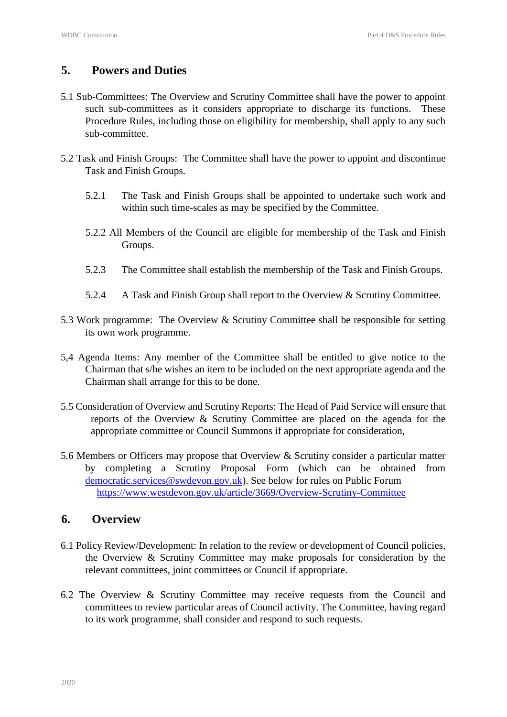#### **5. Powers and Duties**

- 5.1 Sub-Committees: The Overview and Scrutiny Committee shall have the power to appoint such sub-committees as it considers appropriate to discharge its functions. These Procedure Rules, including those on eligibility for membership, shall apply to any such sub-committee.
- 5.2 Task and Finish Groups: The Committee shall have the power to appoint and discontinue Task and Finish Groups.
	- 5.2.1 The Task and Finish Groups shall be appointed to undertake such work and within such time-scales as may be specified by the Committee.
	- 5.2.2 All Members of the Council are eligible for membership of the Task and Finish Groups.
	- 5.2.3 The Committee shall establish the membership of the Task and Finish Groups.
	- 5.2.4 A Task and Finish Group shall report to the Overview & Scrutiny Committee.
- 5.3 Work programme: The Overview & Scrutiny Committee shall be responsible for setting its own work programme.
- 5,4 Agenda Items: Any member of the Committee shall be entitled to give notice to the Chairman that s/he wishes an item to be included on the next appropriate agenda and the Chairman shall arrange for this to be done.
- 5.5 Consideration of Overview and Scrutiny Reports: The Head of Paid Service will ensure that reports of the Overview & Scrutiny Committee are placed on the agenda for the appropriate committee or Council Summons if appropriate for consideration,
- 5.6 Members or Officers may propose that Overview & Scrutiny consider a particular matter by completing a Scrutiny Proposal Form (which can be obtained from democratic.services@swdevon.gov.uk). See below for rules on Public Forum https://www.westdevon.gov.uk/article/3669/Overview-Scrutiny-Committee

#### **6. Overview**

- 6.1 Policy Review/Development: In relation to the review or development of Council policies, the Overview & Scrutiny Committee may make proposals for consideration by the relevant committees, joint committees or Council if appropriate.
- 6.2 The Overview & Scrutiny Committee may receive requests from the Council and committees to review particular areas of Council activity. The Committee, having regard to its work programme, shall consider and respond to such requests.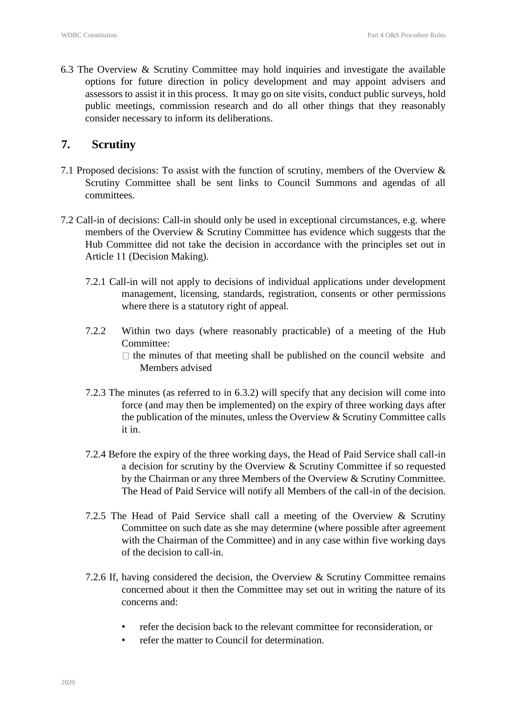6.3 The Overview & Scrutiny Committee may hold inquiries and investigate the available options for future direction in policy development and may appoint advisers and assessors to assist it in this process. It may go on site visits, conduct public surveys, hold public meetings, commission research and do all other things that they reasonably consider necessary to inform its deliberations.

#### **7. Scrutiny**

- 7.1 Proposed decisions: To assist with the function of scrutiny, members of the Overview & Scrutiny Committee shall be sent links to Council Summons and agendas of all committees.
- 7.2 Call-in of decisions: Call-in should only be used in exceptional circumstances, e.g. where members of the Overview & Scrutiny Committee has evidence which suggests that the Hub Committee did not take the decision in accordance with the principles set out in Article 11 (Decision Making).
	- 7.2.1 Call-in will not apply to decisions of individual applications under development management, licensing, standards, registration, consents or other permissions where there is a statutory right of appeal.
	- 7.2.2 Within two days (where reasonably practicable) of a meeting of the Hub Committee:  $\Box$  the minutes of that meeting shall be published on the council website and Members advised
	- 7.2.3 The minutes (as referred to in 6.3.2) will specify that any decision will come into force (and may then be implemented) on the expiry of three working days after the publication of the minutes, unless the Overview & Scrutiny Committee calls it in.
	- 7.2.4 Before the expiry of the three working days, the Head of Paid Service shall call-in a decision for scrutiny by the Overview & Scrutiny Committee if so requested by the Chairman or any three Members of the Overview & Scrutiny Committee. The Head of Paid Service will notify all Members of the call-in of the decision.
	- 7.2.5 The Head of Paid Service shall call a meeting of the Overview & Scrutiny Committee on such date as she may determine (where possible after agreement with the Chairman of the Committee) and in any case within five working days of the decision to call-in.
	- 7.2.6 If, having considered the decision, the Overview & Scrutiny Committee remains concerned about it then the Committee may set out in writing the nature of its concerns and:
		- refer the decision back to the relevant committee for reconsideration, or
		- refer the matter to Council for determination.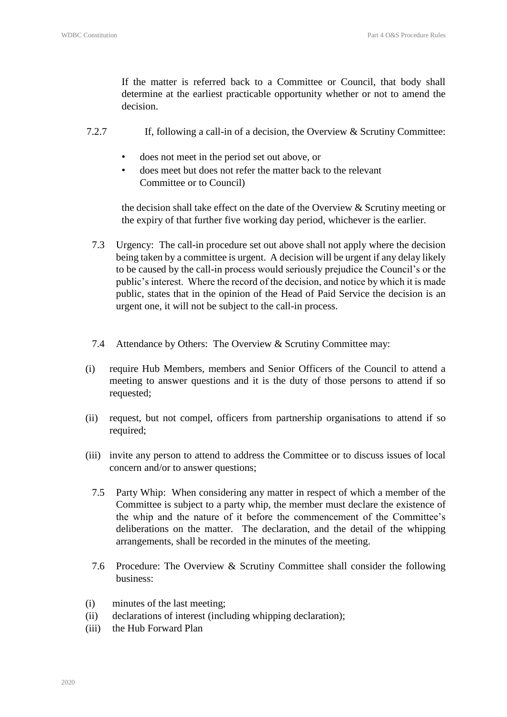If the matter is referred back to a Committee or Council, that body shall determine at the earliest practicable opportunity whether or not to amend the decision.

- 7.2.7 If, following a call-in of a decision, the Overview & Scrutiny Committee:
	- does not meet in the period set out above, or
	- does meet but does not refer the matter back to the relevant Committee or to Council)

the decision shall take effect on the date of the Overview  $\&$  Scrutiny meeting or the expiry of that further five working day period, whichever is the earlier.

- 7.3 Urgency: The call-in procedure set out above shall not apply where the decision being taken by a committee is urgent. A decision will be urgent if any delay likely to be caused by the call-in process would seriously prejudice the Council's or the public's interest. Where the record of the decision, and notice by which it is made public, states that in the opinion of the Head of Paid Service the decision is an urgent one, it will not be subject to the call-in process.
- 7.4 Attendance by Others: The Overview & Scrutiny Committee may:
- (i) require Hub Members, members and Senior Officers of the Council to attend a meeting to answer questions and it is the duty of those persons to attend if so requested;
- (ii) request, but not compel, officers from partnership organisations to attend if so required;
- (iii) invite any person to attend to address the Committee or to discuss issues of local concern and/or to answer questions;
	- 7.5 Party Whip: When considering any matter in respect of which a member of the Committee is subject to a party whip, the member must declare the existence of the whip and the nature of it before the commencement of the Committee's deliberations on the matter. The declaration, and the detail of the whipping arrangements, shall be recorded in the minutes of the meeting.
	- 7.6 Procedure: The Overview & Scrutiny Committee shall consider the following business:
- (i) minutes of the last meeting;
- (ii) declarations of interest (including whipping declaration);
- (iii) the Hub Forward Plan